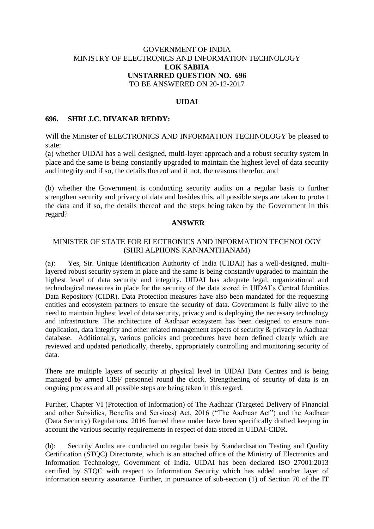# GOVERNMENT OF INDIA MINISTRY OF ELECTRONICS AND INFORMATION TECHNOLOGY **LOK SABHA UNSTARRED QUESTION NO. 696** TO BE ANSWERED ON 20-12-2017

### **UIDAI**

#### **696. SHRI J.C. DIVAKAR REDDY:**

Will the Minister of ELECTRONICS AND INFORMATION TECHNOLOGY be pleased to state:

(a) whether UIDAI has a well designed, multi-layer approach and a robust security system in place and the same is being constantly upgraded to maintain the highest level of data security and integrity and if so, the details thereof and if not, the reasons therefor; and

(b) whether the Government is conducting security audits on a regular basis to further strengthen security and privacy of data and besides this, all possible steps are taken to protect the data and if so, the details thereof and the steps being taken by the Government in this regard?

## **ANSWER**

## MINISTER OF STATE FOR ELECTRONICS AND INFORMATION TECHNOLOGY (SHRI ALPHONS KANNANTHANAM)

(a): Yes, Sir. Unique Identification Authority of India (UIDAI) has a well-designed, multilayered robust security system in place and the same is being constantly upgraded to maintain the highest level of data security and integrity. UIDAI has adequate legal, organizational and technological measures in place for the security of the data stored in UIDAI's Central Identities Data Repository (CIDR). Data Protection measures have also been mandated for the requesting entities and ecosystem partners to ensure the security of data. Government is fully alive to the need to maintain highest level of data security, privacy and is deploying the necessary technology and infrastructure. The architecture of Aadhaar ecosystem has been designed to ensure nonduplication, data integrity and other related management aspects of security & privacy in Aadhaar database. Additionally, various policies and procedures have been defined clearly which are reviewed and updated periodically, thereby, appropriately controlling and monitoring security of data.

There are multiple layers of security at physical level in UIDAI Data Centres and is being managed by armed CISF personnel round the clock. Strengthening of security of data is an ongoing process and all possible steps are being taken in this regard.

Further, Chapter VI (Protection of Information) of The Aadhaar (Targeted Delivery of Financial and other Subsidies, Benefits and Services) Act, 2016 ("The Aadhaar Act") and the Aadhaar (Data Security) Regulations, 2016 framed there under have been specifically drafted keeping in account the various security requirements in respect of data stored in UIDAI-CIDR.

(b): Security Audits are conducted on regular basis by Standardisation Testing and Quality Certification (STQC) Directorate, which is an attached office of the Ministry of Electronics and Information Technology, Government of India. UIDAI has been declared ISO 27001:2013 certified by STQC with respect to Information Security which has added another layer of information security assurance. Further, in pursuance of sub-section (1) of Section 70 of the IT